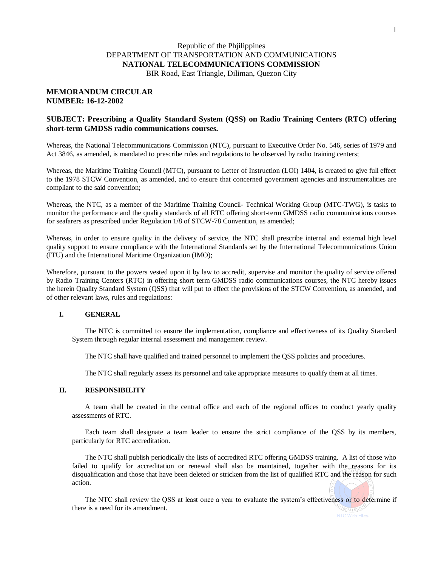# Republic of the Phjilippines DEPARTMENT OF TRANSPORTATION AND COMMUNICATIONS **NATIONAL TELECOMMUNICATIONS COMMISSION**

BIR Road, East Triangle, Diliman, Quezon City

## **MEMORANDUM CIRCULAR NUMBER: 16-12-2002**

## **SUBJECT: Prescribing a Quality Standard System (QSS) on Radio Training Centers (RTC) offering short-term GMDSS radio communications courses.**

Whereas, the National Telecommunications Commission (NTC), pursuant to Executive Order No. 546, series of 1979 and Act 3846, as amended, is mandated to prescribe rules and regulations to be observed by radio training centers;

Whereas, the Maritime Training Council (MTC), pursuant to Letter of Instruction (LOI) 1404, is created to give full effect to the 1978 STCW Convention, as amended, and to ensure that concerned government agencies and instrumentalities are compliant to the said convention;

Whereas, the NTC, as a member of the Maritime Training Council- Technical Working Group (MTC-TWG), is tasks to monitor the performance and the quality standards of all RTC offering short-term GMDSS radio communications courses for seafarers as prescribed under Regulation 1/8 of STCW-78 Convention, as amended;

Whereas, in order to ensure quality in the delivery of service, the NTC shall prescribe internal and external high level quality support to ensure compliance with the International Standards set by the International Telecommunications Union (ITU) and the International Maritime Organization (IMO);

Wherefore, pursuant to the powers vested upon it by law to accredit, supervise and monitor the quality of service offered by Radio Training Centers (RTC) in offering short term GMDSS radio communications courses, the NTC hereby issues the herein Quality Standard System (QSS) that will put to effect the provisions of the STCW Convention, as amended, and of other relevant laws, rules and regulations:

## **I. GENERAL**

The NTC is committed to ensure the implementation, compliance and effectiveness of its Quality Standard System through regular internal assessment and management review.

The NTC shall have qualified and trained personnel to implement the QSS policies and procedures.

The NTC shall regularly assess its personnel and take appropriate measures to qualify them at all times.

## **II. RESPONSIBILITY**

A team shall be created in the central office and each of the regional offices to conduct yearly quality assessments of RTC.

Each team shall designate a team leader to ensure the strict compliance of the QSS by its members, particularly for RTC accreditation.

The NTC shall publish periodically the lists of accredited RTC offering GMDSS training. A list of those who failed to qualify for accreditation or renewal shall also be maintained, together with the reasons for its disqualification and those that have been deleted or stricken from the list of qualified RTC and the reason for such action.

The NTC shall review the QSS at least once a year to evaluate the system's effectiveness or to determine if there is a need for its amendment.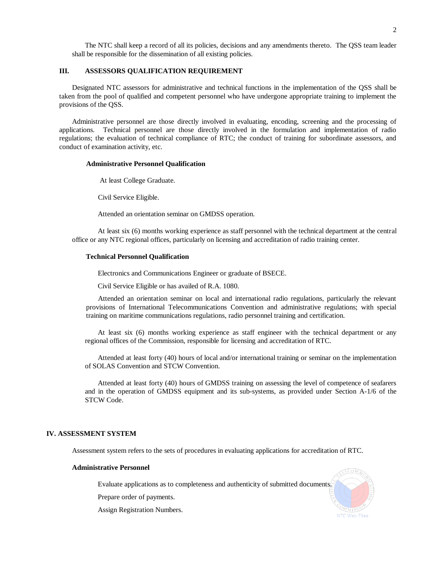The NTC shall keep a record of all its policies, decisions and any amendments thereto. The QSS team leader shall be responsible for the dissemination of all existing policies.

## **III. ASSESSORS QUALIFICATION REQUIREMENT**

Designated NTC assessors for administrative and technical functions in the implementation of the QSS shall be taken from the pool of qualified and competent personnel who have undergone appropriate training to implement the provisions of the QSS.

Administrative personnel are those directly involved in evaluating, encoding, screening and the processing of applications. Technical personnel are those directly involved in the formulation and implementation of radio regulations; the evaluation of technical compliance of RTC; the conduct of training for subordinate assessors, and conduct of examination activity, etc.

#### **Administrative Personnel Qualification**

At least College Graduate.

Civil Service Eligible.

Attended an orientation seminar on GMDSS operation.

At least six (6) months working experience as staff personnel with the technical department at the central office or any NTC regional offices, particularly on licensing and accreditation of radio training center.

#### **Technical Personnel Qualification**

Electronics and Communications Engineer or graduate of BSECE.

Civil Service Eligible or has availed of R.A. 1080.

Attended an orientation seminar on local and international radio regulations, particularly the relevant provisions of International Telecommunications Convention and administrative regulations; with special training on maritime communications regulations, radio personnel training and certification.

At least six (6) months working experience as staff engineer with the technical department or any regional offices of the Commission, responsible for licensing and accreditation of RTC.

Attended at least forty (40) hours of local and/or international training or seminar on the implementation of SOLAS Convention and STCW Convention.

Attended at least forty (40) hours of GMDSS training on assessing the level of competence of seafarers and in the operation of GMDSS equipment and its sub-systems, as provided under Section A-1/6 of the STCW Code.

### **IV. ASSESSMENT SYSTEM**

Assessment system refers to the sets of procedures in evaluating applications for accreditation of RTC.

#### **Administrative Personnel**

Evaluate applications as to completeness and authenticity of submitted documents.

Prepare order of payments.

Assign Registration Numbers.

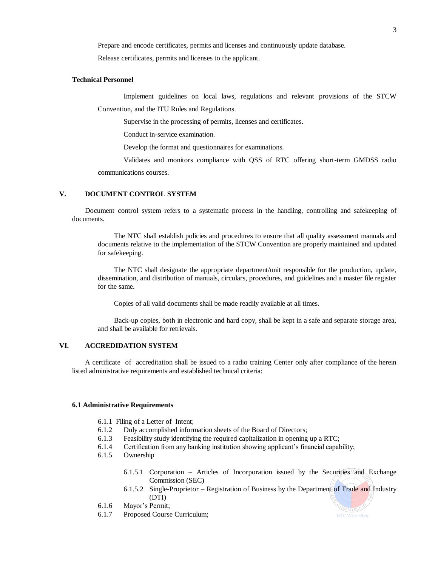Prepare and encode certificates, permits and licenses and continuously update database.

Release certificates, permits and licenses to the applicant.

### **Technical Personnel**

Implement guidelines on local laws, regulations and relevant provisions of the STCW Convention, and the ITU Rules and Regulations.

Supervise in the processing of permits, licenses and certificates.

Conduct in-service examination.

Develop the format and questionnaires for examinations.

Validates and monitors compliance with QSS of RTC offering short-term GMDSS radio communications courses.

### **V. DOCUMENT CONTROL SYSTEM**

Document control system refers to a systematic process in the handling, controlling and safekeeping of documents.

The NTC shall establish policies and procedures to ensure that all quality assessment manuals and documents relative to the implementation of the STCW Convention are properly maintained and updated for safekeeping.

The NTC shall designate the appropriate department/unit responsible for the production, update, dissemination, and distribution of manuals, circulars, procedures, and guidelines and a master file register for the same.

Copies of all valid documents shall be made readily available at all times.

Back-up copies, both in electronic and hard copy, shall be kept in a safe and separate storage area, and shall be available for retrievals.

### **VI. ACCREDIDATION SYSTEM**

A certificate of accreditation shall be issued to a radio training Center only after compliance of the herein listed administrative requirements and established technical criteria:

#### **6.1 Administrative Requirements**

- 6.1.1 Filing of a Letter of Intent;
- 6.1.2 Duly accomplished information sheets of the Board of Directors;
- 6.1.3 Feasibility study identifying the required capitalization in opening up a RTC;
- 6.1.4 Certification from any banking institution showing applicant's financial capability;
- 6.1.5 Ownership
	- 6.1.5.1 Corporation Articles of Incorporation issued by the Securities and Exchange Commission (SEC)
	- 6.1.5.2 Single-Proprietor Registration of Business by the Department of Trade and Industry (DTI)
- 6.1.6 Mayor's Permit;
- 6.1.7 Proposed Course Curriculum;